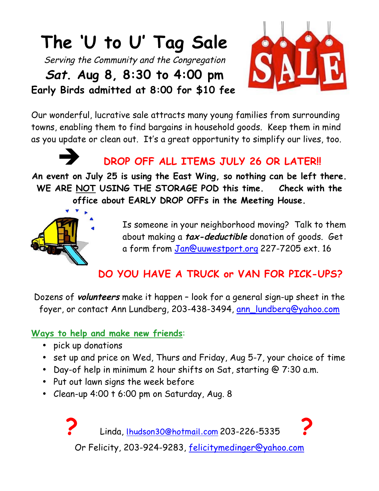# **The 'U to U' Tag Sale**

Serving the Community and the Congregation

**Sat. Aug 8, 8:30 to 4:00 pm Early Birds admitted at 8:00 for \$10 fee**



Our wonderful, lucrative sale attracts many young families from surrounding towns, enabling them to find bargains in household goods. Keep them in mind as you update or clean out. It's a great opportunity to simplify our lives, too.



! **DROP OFF ALL ITEMS JULY 26 OR LATER!!** 

**An event on July 25 is using the East Wing, so nothing can be left there. WE ARE NOT USING THE STORAGE POD this time. Check with the office about EARLY DROP OFFs in the Meeting House.** 



Is someone in your neighborhood moving? Talk to them about making a **tax-deductible** donation of goods. Get a form from [Jan@uuwestport.org](mailto:Jan@uuwestport.org) 227-7205 ext. 16

# **DO YOU HAVE A TRUCK or VAN FOR PICK-UPS?**

Dozens of **volunteers** make it happen – look for a general sign-up sheet in the foyer, or contact Ann Lundberg, 203-438-3494, [ann\\_lundberg@yahoo.com](mailto:ann_lundberg@yahoo.com) 

#### **Ways to help and make new friends**:

- pick up donations
- set up and price on Wed, Thurs and Friday, Aug 5-7, your choice of time
- Day-of help in minimum 2 hour shifts on Sat, starting @ 7:30 a.m.
- Put out lawn signs the week before
- Clean-up 4:00 t 6:00 pm on Saturday, Aug. 8

**?** Linda, [lhudson30@hotmail.com](mailto:lhudson30@hotmail.com) 203-226-5335 **?** Or Felicity, 203-924-9283, [felicitymedinger@yahoo.com](mailto:felicitymedinger@yahoo.com)